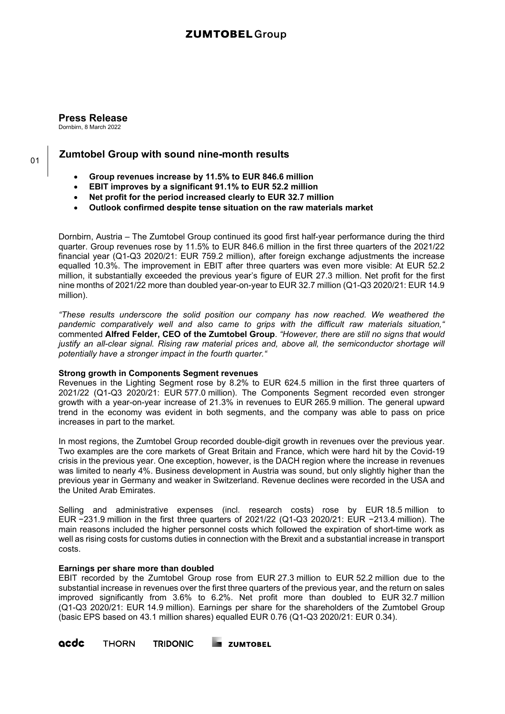# **ZUMTOBEL Group**

**Press Release** Dornbirn, 8 March 2022

# **Zumtobel Group with sound nine-month results**

- **Group revenues increase by 11.5% to EUR 846.6 million**
- **EBIT improves by a significant 91.1% to EUR 52.2 million**
- **Net profit for the period increased clearly to EUR 32.7 million**
- **Outlook confirmed despite tense situation on the raw materials market**

Dornbirn, Austria – The Zumtobel Group continued its good first half-year performance during the third quarter. Group revenues rose by 11.5% to EUR 846.6 million in the first three quarters of the 2021/22 financial year (Q1-Q3 2020/21: EUR 759.2 million), after foreign exchange adjustments the increase equalled 10.3%. The improvement in EBIT after three quarters was even more visible: At EUR 52.2 million, it substantially exceeded the previous year's figure of EUR 27.3 million. Net profit for the first nine months of 2021/22 more than doubled year-on-year to EUR 32.7 million (Q1-Q3 2020/21: EUR 14.9 million).

*"These results underscore the solid position our company has now reached. We weathered the pandemic comparatively well and also came to grips with the difficult raw materials situation,"* commented **Alfred Felder, CEO of the Zumtobel Group**. *"However, there are still no signs that would justify an all-clear signal. Rising raw material prices and, above all, the semiconductor shortage will potentially have a stronger impact in the fourth quarter."*

### **Strong growth in Components Segment revenues**

Revenues in the Lighting Segment rose by 8.2% to EUR 624.5 million in the first three quarters of 2021/22 (Q1-Q3 2020/21: EUR 577.0 million). The Components Segment recorded even stronger growth with a year-on-year increase of 21.3% in revenues to EUR 265.9 million. The general upward trend in the economy was evident in both segments, and the company was able to pass on price increases in part to the market.

In most regions, the Zumtobel Group recorded double-digit growth in revenues over the previous year. Two examples are the core markets of Great Britain and France, which were hard hit by the Covid-19 crisis in the previous year. One exception, however, is the DACH region where the increase in revenues was limited to nearly 4%. Business development in Austria was sound, but only slightly higher than the previous year in Germany and weaker in Switzerland. Revenue declines were recorded in the USA and the United Arab Emirates.

Selling and administrative expenses (incl. research costs) rose by EUR 18.5 million to EUR −231.9 million in the first three quarters of 2021/22 (Q1-Q3 2020/21: EUR −213.4 million). The main reasons included the higher personnel costs which followed the expiration of short-time work as well as rising costs for customs duties in connection with the Brexit and a substantial increase in transport costs.

### **Earnings per share more than doubled**

EBIT recorded by the Zumtobel Group rose from EUR 27.3 million to EUR 52.2 million due to the substantial increase in revenues over the first three quarters of the previous year, and the return on sales improved significantly from 3.6% to 6.2%. Net profit more than doubled to EUR 32.7 million (Q1-Q3 2020/21: EUR 14.9 million). Earnings per share for the shareholders of the Zumtobel Group (basic EPS based on 43.1 million shares) equalled EUR 0.76 (Q1-Q3 2020/21: EUR 0.34).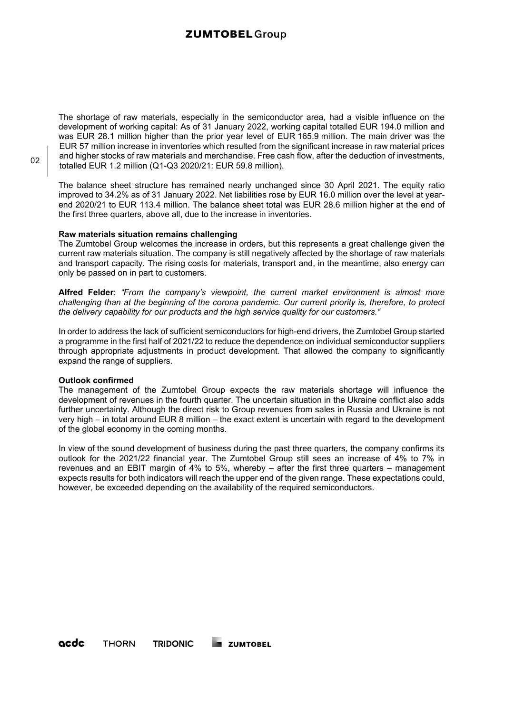# **ZUMTOBEL Group**

The shortage of raw materials, especially in the semiconductor area, had a visible influence on the development of working capital: As of 31 January 2022, working capital totalled EUR 194.0 million and was EUR 28.1 million higher than the prior year level of EUR 165.9 million. The main driver was the EUR 57 million increase in inventories which resulted from the significant increase in raw material prices and higher stocks of raw materials and merchandise. Free cash flow, after the deduction of investments, totalled EUR 1.2 million (Q1-Q3 2020/21: EUR 59.8 million).

The balance sheet structure has remained nearly unchanged since 30 April 2021. The equity ratio improved to 34.2% as of 31 January 2022. Net liabilities rose by EUR 16.0 million over the level at yearend 2020/21 to EUR 113.4 million. The balance sheet total was EUR 28.6 million higher at the end of the first three quarters, above all, due to the increase in inventories.

### **Raw materials situation remains challenging**

The Zumtobel Group welcomes the increase in orders, but this represents a great challenge given the current raw materials situation. The company is still negatively affected by the shortage of raw materials and transport capacity. The rising costs for materials, transport and, in the meantime, also energy can only be passed on in part to customers.

**Alfred Felder**: *"From the company's viewpoint, the current market environment is almost more challenging than at the beginning of the corona pandemic. Our current priority is, therefore, to protect the delivery capability for our products and the high service quality for our customers."* 

In order to address the lack of sufficient semiconductors for high-end drivers, the Zumtobel Group started a programme in the first half of 2021/22 to reduce the dependence on individual semiconductor suppliers through appropriate adjustments in product development. That allowed the company to significantly expand the range of suppliers.

### **Outlook confirmed**

The management of the Zumtobel Group expects the raw materials shortage will influence the development of revenues in the fourth quarter. The uncertain situation in the Ukraine conflict also adds further uncertainty. Although the direct risk to Group revenues from sales in Russia and Ukraine is not very high – in total around EUR 8 million – the exact extent is uncertain with regard to the development of the global economy in the coming months.

In view of the sound development of business during the past three quarters, the company confirms its outlook for the 2021/22 financial year. The Zumtobel Group still sees an increase of 4% to 7% in revenues and an EBIT margin of 4% to 5%, whereby – after the first three quarters – management expects results for both indicators will reach the upper end of the given range. These expectations could, however, be exceeded depending on the availability of the required semiconductors.

02

acdc **THORN TRIDONIC EXECUTATOBEL**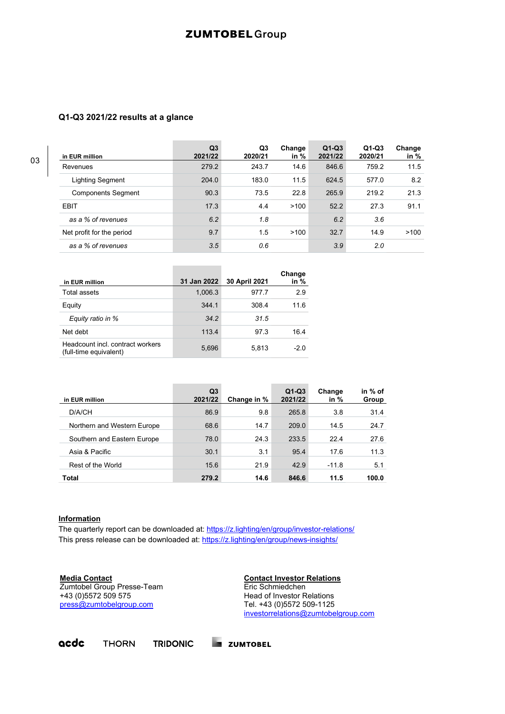# **ZUMTOBEL** Group

## **Q1-Q3 2021/22 results at a glance**

| in EUR million            | Q <sub>3</sub><br>2021/22 | Q <sub>3</sub><br>2020/21 | Change<br>in $%$ | $Q1-Q3$<br>2021/22 | $Q1-Q3$<br>2020/21 | Change<br>in $%$ |
|---------------------------|---------------------------|---------------------------|------------------|--------------------|--------------------|------------------|
| Revenues                  | 279.2                     | 243.7                     | 14.6             | 846.6              | 759.2              | 11.5             |
| Lighting Segment          | 204.0                     | 183.0                     | 11.5             | 624.5              | 577.0              | 8.2              |
| <b>Components Segment</b> | 90.3                      | 73.5                      | 22.8             | 265.9              | 219.2              | 21.3             |
| <b>EBIT</b>               | 17.3                      | 4.4                       | >100             | 52.2               | 27.3               | 91.1             |
| as a % of revenues        | 6.2                       | 1.8                       |                  | 6.2                | 3.6                |                  |
| Net profit for the period | 9.7                       | 1.5                       | >100             | 32.7               | 14.9               | >100             |
| as a % of revenues        | 3.5                       | 0.6                       |                  | 3.9                | 2.0                |                  |

| in EUR million                                             | 31 Jan 2022 | 30 April 2021 | Change<br>in % |
|------------------------------------------------------------|-------------|---------------|----------------|
| Total assets                                               | 1,006.3     | 977.7         | 2.9            |
| Equity                                                     | 344.1       | 308.4         | 11.6           |
| Equity ratio in %                                          | 34.2        | 31.5          |                |
| Net debt                                                   | 113.4       | 97.3          | 16.4           |
| Headcount incl. contract workers<br>(full-time equivalent) | 5,696       | 5.813         | $-2.0$         |

**Contract Contract Contract** 

| in EUR million              | Q3<br>2021/22 | Change in % | $Q1-Q3$<br>2021/22 | Change<br>in $%$ | in % of<br>Group |
|-----------------------------|---------------|-------------|--------------------|------------------|------------------|
| D/A/CH                      | 86.9          | 9.8         | 265.8              | 3.8              | 31.4             |
| Northern and Western Europe | 68.6          | 14.7        | 209.0              | 14.5             | 24.7             |
| Southern and Eastern Europe | 78.0          | 24.3        | 233.5              | 22.4             | 27.6             |
| Asia & Pacific              | 30.1          | 3.1         | 95.4               | 17.6             | 11.3             |
| Rest of the World           | 15.6          | 21.9        | 42.9               | $-11.8$          | 5.1              |
| <b>Total</b>                | 279.2         | 14.6        | 846.6              | 11.5             | 100.0            |

### **Information**

The quarterly report can be downloaded at:<https://z.lighting/en/group/investor-relations/> This press release can be downloaded at: <https://z.lighting/en/group/news-insights/>

**Media Contact** Zumtobel Group Presse-Team +43 (0)5572 509 575 [press@zumtobelgroup.com](mailto:press@zumtobelgroup.com)

**Contact Investor Relations** Eric Schmiedchen Head of Investor Relations Tel. +43 (0)5572 509-1125 [investorrelations@zumtobelgroup.com](mailto:investorrelations@zumtobelgroup.com)

#### acdc **THORN**

**TRIDONIC EN ZUMTOBEL**